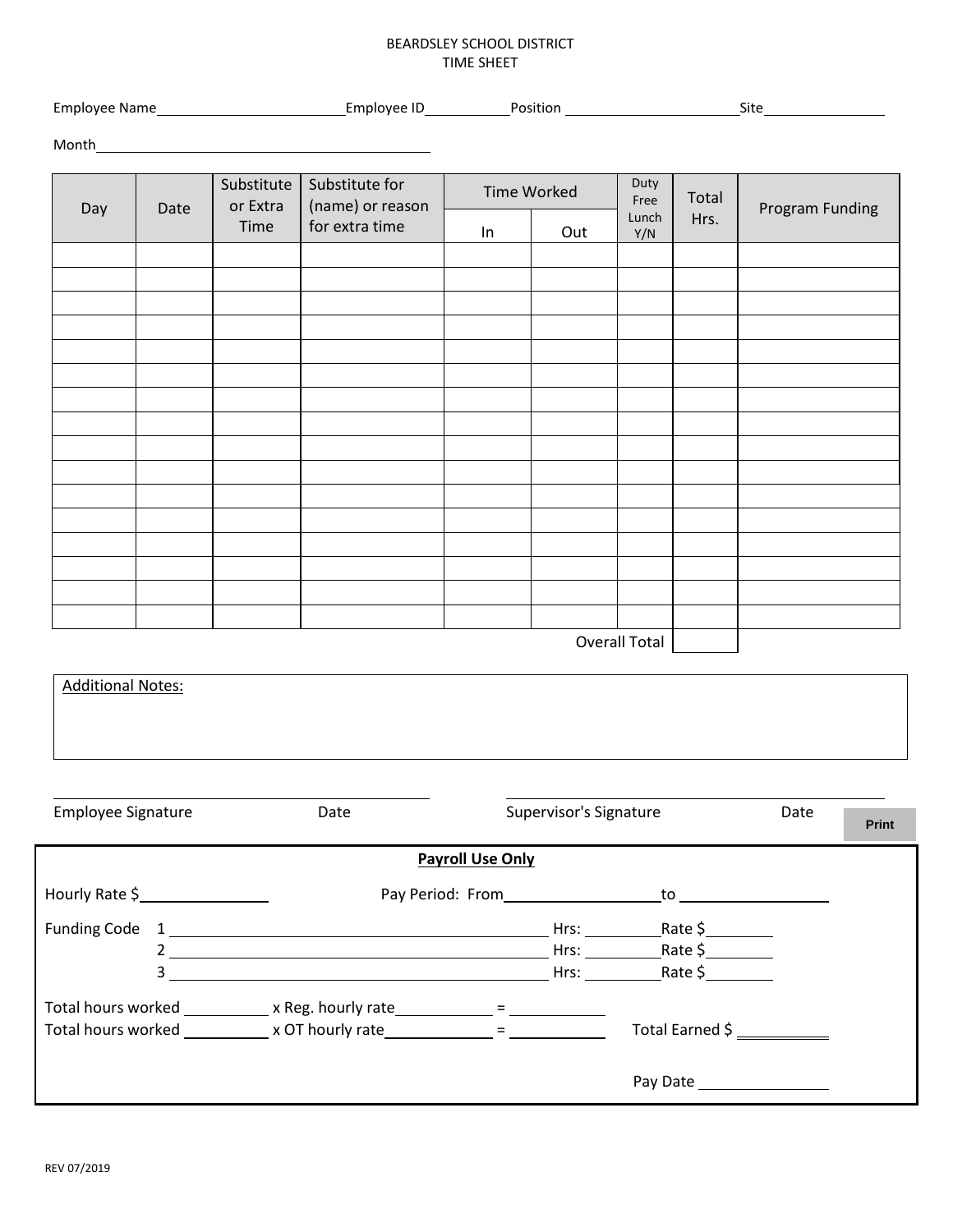## BEARDSLEY SCHOOL DISTRICT TIME SHEET

|                           |      | Month <b>Month Manual</b>        |                                                      |                    |                        |                              |               |                       |  |
|---------------------------|------|----------------------------------|------------------------------------------------------|--------------------|------------------------|------------------------------|---------------|-----------------------|--|
| Day                       | Date | Substitute  <br>or Extra<br>Time | Substitute for<br>(name) or reason<br>for extra time | <b>Time Worked</b> |                        | Duty<br>Free<br>Lunch<br>Y/N | Total<br>Hrs. | Program Funding       |  |
|                           |      |                                  |                                                      | ln                 | Out                    |                              |               |                       |  |
|                           |      |                                  |                                                      |                    |                        |                              |               |                       |  |
|                           |      |                                  |                                                      |                    |                        |                              |               |                       |  |
|                           |      |                                  |                                                      |                    |                        |                              |               |                       |  |
|                           |      |                                  |                                                      |                    |                        |                              |               |                       |  |
|                           |      |                                  |                                                      |                    |                        |                              |               |                       |  |
|                           |      |                                  |                                                      |                    |                        |                              |               |                       |  |
|                           |      |                                  |                                                      |                    |                        |                              |               |                       |  |
|                           |      |                                  |                                                      |                    |                        |                              |               |                       |  |
|                           |      |                                  |                                                      |                    |                        |                              |               |                       |  |
|                           |      |                                  |                                                      |                    |                        |                              |               |                       |  |
|                           |      |                                  |                                                      |                    |                        | <b>Overall Total</b>         |               |                       |  |
| <b>Additional Notes:</b>  |      |                                  |                                                      |                    |                        |                              |               |                       |  |
|                           |      |                                  |                                                      |                    |                        |                              |               |                       |  |
|                           |      |                                  |                                                      |                    |                        |                              |               |                       |  |
|                           |      |                                  |                                                      |                    |                        |                              |               |                       |  |
| <b>Employee Signature</b> |      |                                  | Date                                                 |                    | Supervisor's Signature |                              |               | Date<br><b>Delina</b> |  |

|                                                                                  |   |                                                                            |                         |      |                                                                                                                                                                                                                                | <b>Print</b> |
|----------------------------------------------------------------------------------|---|----------------------------------------------------------------------------|-------------------------|------|--------------------------------------------------------------------------------------------------------------------------------------------------------------------------------------------------------------------------------|--------------|
|                                                                                  |   |                                                                            | <b>Payroll Use Only</b> |      |                                                                                                                                                                                                                                |              |
| Hourly Rate \$                                                                   |   | Pay Period: From                                                           |                         |      | to the contract of the contract of the contract of the contract of the contract of the contract of the contract of the contract of the contract of the contract of the contract of the contract of the contract of the contrac |              |
| <b>Funding Code</b>                                                              |   |                                                                            |                         | Hrs: | Rate $\zeta$                                                                                                                                                                                                                   |              |
|                                                                                  |   |                                                                            |                         | Hrs: | Rate $\frac{1}{2}$                                                                                                                                                                                                             |              |
|                                                                                  | 3 |                                                                            |                         | Hrs: |                                                                                                                                                                                                                                |              |
|                                                                                  |   | Total hours worked ____________ x Reg. hourly rate ____________ = ________ |                         |      |                                                                                                                                                                                                                                |              |
| Total hours worked ______________ x OT hourly rate ______________ = ____________ |   |                                                                            |                         |      | Total Earned \$                                                                                                                                                                                                                |              |
|                                                                                  |   |                                                                            |                         |      |                                                                                                                                                                                                                                |              |